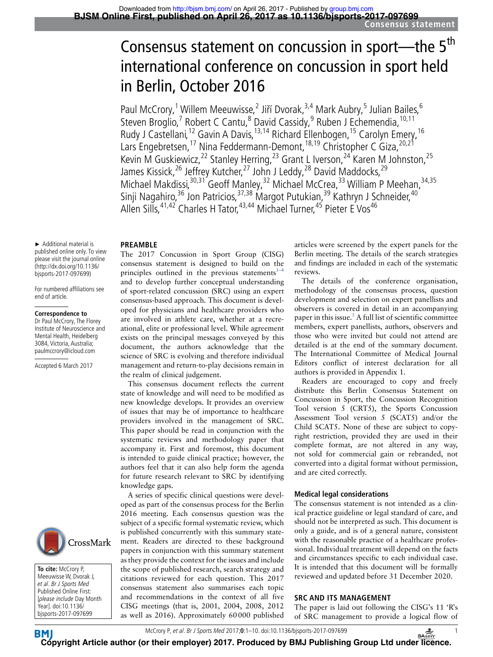# Consensus statement on concussion in sport—the 5<sup>th</sup> international conference on concussion in sport held in Berlin, October 2016

Paul McCrory,<sup>1</sup> Willem Meeuwisse,<sup>2</sup> Jiří Dvorak,<sup>3,4</sup> Mark Aubry,<sup>5</sup> Julian Bailes,<sup>6</sup> Steven Broglio,<sup>7</sup> Robert C Cantu,<sup>8</sup> David Cassidy,<sup>9</sup> Ruben J Echemendia, <sup>10,11</sup> Rudy J Castellani,<sup>12</sup> Gavin A Davis,<sup>13,14</sup> Richard Ellenbogen,<sup>15</sup> Carolyn Emery,<sup>16</sup> Lars Engebretsen,<sup>17</sup> Nina Feddermann-Demont,<sup>18,19</sup> Christopher C Giza,<sup>20,21</sup> Kevin M Guskiewicz,<sup>22</sup> Stanley Herring,<sup>23</sup> Grant L Iverson,<sup>24</sup> Karen M Johnston,<sup>25</sup> James Kissick,<sup>26</sup> Jeffrey Kutcher,<sup>27</sup> John J Leddy,<sup>28</sup> David Maddocks,<sup>29</sup> Michael Makdissi,<sup>30,31</sup> Geoff Manley,<sup>32</sup> Michael McCrea,<sup>33</sup> William P Meehan,<sup>34,35</sup> Sinji Nagahiro,<sup>36</sup> Jon Patricios,<sup>37,38</sup> Margot Putukian,<sup>39</sup> Kathryn J Schneider,<sup>40</sup> Allen Sills, <sup>41,42</sup> Charles H Tator, <sup>43,44</sup> Michael Turner, <sup>45</sup> Pieter E Vos<sup>46</sup>

#### **PREAMBLE**

The 2017 Concussion in Sport Group (CISG) consensus statement is designed to build on the principles outlined in the previous statements<sup>1–1</sup> and to develop further conceptual understanding of sport-related concussion (SRC) using an expert consensus-based approach. This document is developed for physicians and healthcare providers who are involved in athlete care, whether at a recreational, elite or professional level. While agreement exists on the principal messages conveyed by this document, the authors acknowledge that the science of SRC is evolving and therefore individual management and return-to-play decisions remain in the realm of clinical judgement.

This consensus document reflects the current state of knowledge and will need to be modified as new knowledge develops. It provides an overview of issues that may be of importance to healthcare providers involved in the management of SRC. This paper should be read in conjunction with the systematic reviews and methodology paper that accompany it. First and foremost, this document is intended to guide clinical practice; however, the authors feel that it can also help form the agenda for future research relevant to SRC by identifying knowledge gaps.

A series of specific clinical questions were developed as part of the consensus process for the Berlin 2016 meeting. Each consensus question was the subject of a specific formal systematic review, which is published concurrently with this summary statement. Readers are directed to these background papers in conjunction with this summary statement as they provide the context for the issues and include the scope of published research, search strategy and citations reviewed for each question. This 2017 consensus statement also summarises each topic and recommendations in the context of all five CISG meetings (that is, 2001, 2004, 2008, 2012 as well as 2016). Approximately 60000 published articles were screened by the expert panels for the Berlin meeting. The details of the search strategies and findings are included in each of the systematic reviews.

The details of the conference organisation, methodology of the consensus process, question development and selection on expert panellists and observers is covered in detail in an accompanying paper in this issue.<sup>5</sup> A full list of scientific committee members, expert panellists, authors, observers and those who were invited but could not attend are detailed is at the end of the summary document. The International Committee of Medical Journal Editors conflict of interest declaration for all authors is provided in Appendix 1.

Readers are encouraged to copy and freely distribute this Berlin Consensus Statement on Concussion in Sport, the Concussion Recognition Tool version 5 (CRT5), the Sports Concussion Assessment Tool version 5 (SCAT5) and/or the Child SCAT5. None of these are subject to copyright restriction, provided they are used in their complete format, are not altered in any way, not sold for commercial gain or rebranded, not converted into a digital format without permission, and are cited correctly.

# **Medical legal considerations**

The consensus statement is not intended as a clinical practice guideline or legal standard of care, and should not be interpreted as such. This document is only a guide, and is of a general nature, consistent with the reasonable practice of a healthcare professional. Individual treatment will depend on the facts and circumstances specific to each individual case. It is intended that this document will be formally reviewed and updated before 31 December 2020.

# **SRC AND ITS MANAGEMENT**

The paper is laid out following the CISG's 11 'R's of SRC management to provide a logical flow of



For numbered affiliations see end of article.

#### **Correspondence to**

Dr Paul McCrory, The Florey Institute of Neuroscience and Mental Health, Heidelberg 3084, Victoria, Australia; paulmccrory@icloud.com

Accepted 6 March 2017



**To cite:** McCrory P, Meeuwisse W, Dvorak J, et al. Br J Sports Med Published Online First: [please include Day Month Year]. doi:10.1136/ bjsports-2017-097699

McCrory P, et al. Br J Sports Med 2017;**0**:1–10. doi:10.1136/bjsports-2017-097699 1

**BM [Cop](http://bjsm.bmj.com/)yright Article author (or their employer) 2017. Produced by BMJ Publishing Group Ltd unde[r licen](http://www.basem.co.uk/)ce.**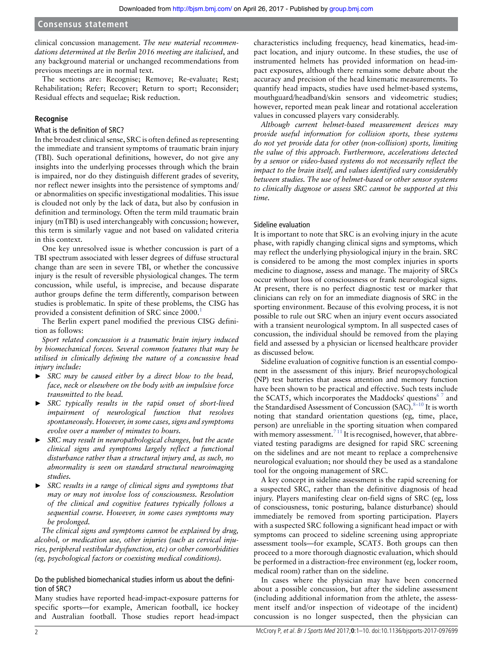clinical concussion management. *The new material recommendations determined at the Berlin 2016 meeting are italicised*, and any background material or unchanged recommendations from previous meetings are in normal text.

The sections are: Recognise; Remove; Re-evaluate; Rest; Rehabilitation; Refer; Recover; Return to sport; Reconsider; Residual effects and sequelae; Risk reduction.

# **Recognise**

# What is the definition of SRC?

In the broadest clinical sense, SRC is often defined as representing the immediate and transient symptoms of traumatic brain injury (TBI). Such operational definitions, however, do not give any insights into the underlying processes through which the brain is impaired, nor do they distinguish different grades of severity, nor reflect newer insights into the persistence of symptoms and/ or abnormalities on specific investigational modalities. This issue is clouded not only by the lack of data, but also by confusion in definition and terminology. Often the term mild traumatic brain injury (mTBI) is used interchangeably with concussion; however, this term is similarly vague and not based on validated criteria in this context.

One key unresolved issue is whether concussion is part of a TBI spectrum associated with lesser degrees of diffuse structural change than are seen in severe TBI, or whether the concussive injury is the result of reversible physiological changes. The term concussion, while useful, is imprecise, and because disparate author groups define the term differently, comparison between studies is problematic. In spite of these problems, the CISG has provided a consistent definition of SRC since 2000.<sup>[1](#page-8-0)</sup>

The Berlin expert panel modified the previous CISG definition as follows:

*Sport related concussion is a traumatic brain injury induced by biomechanical forces. Several common features that may be utilised in clinically defining the nature of a concussive head injury include:*

- ► *SRC may be caused either by a direct blow to the head, face, neck or elsewhere on the body with an impulsive force transmitted to the head.*
- ► *SRC typically results in the rapid onset of short-lived impairment of neurological function that resolves spontaneously. However, in some cases, signs and symptoms evolve over a number of minutes to hours.*
- ► *SRC may result in neuropathological changes, but the acute clinical signs and symptoms largely reflect a functional disturbance rather than a structural injury and, as such, no abnormality is seen on standard structural neuroimaging studies.*
- ► *SRC results in a range of clinical signs and symptoms that may or may not involve loss of consciousness. Resolution of the clinical and cognitive features typically follows a sequential course. However, in some cases symptoms may be prolonged.*

*The clinical signs and symptoms cannot be explained by drug, alcohol, or medication use, other injuries (such as cervical injuries, peripheral vestibular dysfunction, etc) or other comorbidities (eg, psychological factors or coexisting medical conditions).*

# Do the published biomechanical studies inform us about the definition of SRC?

Many studies have reported head-impact-exposure patterns for specific sports—for example, American football, ice hockey and Australian football. Those studies report head-impact characteristics including frequency, head kinematics, head-impact location, and injury outcome. In these studies, the use of instrumented helmets has provided information on head-impact exposures, although there remains some debate about the accuracy and precision of the head kinematic measurements. To quantify head impacts, studies have used helmet-based systems, mouthguard/headband/skin sensors and videometric studies; however, reported mean peak linear and rotational acceleration values in concussed players vary considerably.

*Although current helmet-based measurement devices may provide useful information for collision sports, these systems do not yet provide data for other (non-collision) sports, limiting the value of this approach. Furthermore, accelerations detected by a sensor or video-based systems do not necessarily reflect the impact to the brain itself, and values identified vary considerably between studies. The use of helmet-based or other sensor systems to clinically diagnose or assess SRC cannot be supported at this time.*

### Sideline evaluation

It is important to note that SRC is an evolving injury in the acute phase, with rapidly changing clinical signs and symptoms, which may reflect the underlying physiological injury in the brain. SRC is considered to be among the most complex injuries in sports medicine to diagnose, assess and manage. The majority of SRCs occur without loss of consciousness or frank neurological signs. At present, there is no perfect diagnostic test or marker that clinicians can rely on for an immediate diagnosis of SRC in the sporting environment. Because of this evolving process, it is not possible to rule out SRC when an injury event occurs associated with a transient neurological symptom. In all suspected cases of concussion, the individual should be removed from the playing field and assessed by a physician or licensed healthcare provider as discussed below.

Sideline evaluation of cognitive function is an essential component in the assessment of this injury. Brief neuropsychological (NP) test batteries that assess attention and memory function have been shown to be practical and effective. Such tests include the SCAT5, which incorporates the Maddocks' questions<sup>67</sup> and the Standardised Assessment of Concussion (SAC).  $8-10$  It is worth noting that standard orientation questions (eg, time, place, person) are unreliable in the sporting situation when compared with memory assessment.<sup>711</sup> It is recognised, however, that abbreviated testing paradigms are designed for rapid SRC screening on the sidelines and are not meant to replace a comprehensive neurological evaluation; nor should they be used as a standalone tool for the ongoing management of SRC.

A key concept in sideline assessment is the rapid screening for a suspected SRC, rather than the definitive diagnosis of head injury. Players manifesting clear on-field signs of SRC (eg, loss of consciousness, tonic posturing, balance disturbance) should immediately be removed from sporting participation. Players with a suspected SRC following a significant head impact or with symptoms can proceed to sideline screening using appropriate assessment tools—for example, SCAT5. Both groups can then proceed to a more thorough diagnostic evaluation, which should be performed in a distraction-free environment (eg, locker room, medical room) rather than on the sideline.

In cases where the physician may have been concerned about a possible concussion, but after the sideline assessment (including additional information from the athlete, the assessment itself and/or inspection of videotape of the incident) concussion is no longer suspected, then the physician can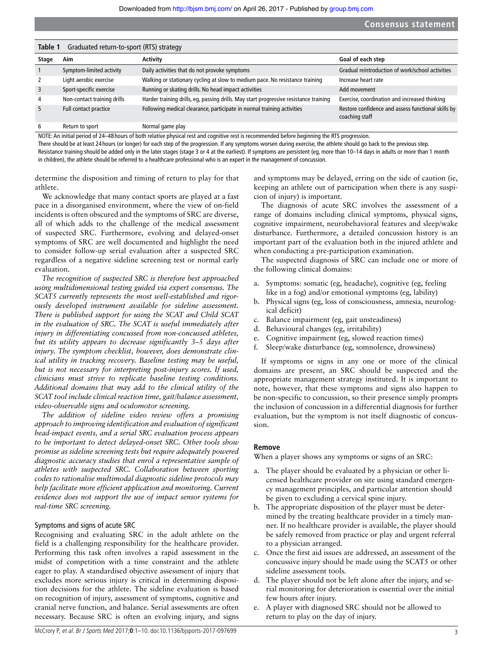<span id="page-2-0"></span>

| Table 1<br>Graduated return-to-sport (RTS) strategy |                             |                                                                                       |                                                                      |  |  |
|-----------------------------------------------------|-----------------------------|---------------------------------------------------------------------------------------|----------------------------------------------------------------------|--|--|
| Stage                                               | Aim                         | Activity                                                                              | Goal of each step                                                    |  |  |
|                                                     | Symptom-limited activity    | Daily activities that do not provoke symptoms                                         | Gradual reintroduction of work/school activities                     |  |  |
| $\overline{2}$                                      | Light aerobic exercise      | Walking or stationary cycling at slow to medium pace. No resistance training          | Increase heart rate                                                  |  |  |
| 3                                                   | Sport-specific exercise     | Running or skating drills. No head impact activities                                  | Add movement                                                         |  |  |
| $\overline{4}$                                      | Non-contact training drills | Harder training drills, eg, passing drills. May start progressive resistance training | Exercise, coordination and increased thinking                        |  |  |
| 5                                                   | Full contact practice       | Following medical clearance, participate in normal training activities                | Restore confidence and assess functional skills by<br>coaching staff |  |  |
| 6                                                   | Return to sport             | Normal game play                                                                      |                                                                      |  |  |

NOTE: An initial period of 24–48 hours of both relative physical rest and cognitive rest is recommended before beginning the RTS progression.

There should be at least 24 hours (or longer) for each step of the progression. If any symptoms worsen during exercise, the athlete should go back to the previous step.

Resistance training should be added only in the later stages (stage 3 or 4 at the earliest). If symptoms are persistent (eg, more than 10-14 days in adults or more than 1 month in children), the athlete should be referred to a healthcare professional who is an expert in the management of concussion.

determine the disposition and timing of return to play for that athlete.

We acknowledge that many contact sports are played at a fast pace in a disorganised environment, where the view of on-field incidents is often obscured and the symptoms of SRC are diverse, all of which adds to the challenge of the medical assessment of suspected SRC. Furthermore, evolving and delayed-onset symptoms of SRC are well documented and highlight the need to consider follow-up serial evaluation after a suspected SRC regardless of a negative sideline screening test or normal early evaluation.

*The recognition of suspected SRC is therefore best approached using multidimensional testing guided via expert consensus. The SCAT5 currently represents the most well-established and rigorously developed instrument available for sideline assessment. There is published support for using the SCAT and Child SCAT in the evaluation of SRC. The SCAT is useful immediately after injury in differentiating concussed from non-concussed athletes, but its utility appears to decrease significantly 3–5 days after injury. The symptom checklist, however, does demonstrate clinical utility in tracking recovery. Baseline testing may be useful, but is not necessary for interpreting post-injury scores. If used, clinicians must strive to replicate baseline testing conditions. Additional domains that may add to the clinical utility of the SCAT tool include clinical reaction time, gait/balance assessment, video-observable signs and oculomotor screening.*

*The addition of sideline video review offers a promising approach to improving identification and evaluation of significant head-impact events, and a serial SRC evaluation process appears to be important to detect delayed-onset SRC. Other tools show promise as sideline screening tests but require adequately powered diagnostic accuracy studies that enrol a representative sample of athletes with suspected SRC. Collaboration between sporting codes to rationalise multimodal diagnostic sideline protocols may help facilitate more efficient application and monitoring. Current evidence does not support the use of impact sensor systems for real-time SRC screening.*

#### Symptoms and signs of acute SRC

Recognising and evaluating SRC in the adult athlete on the field is a challenging responsibility for the healthcare provider. Performing this task often involves a rapid assessment in the midst of competition with a time constraint and the athlete eager to play. A standardised objective assessment of injury that excludes more serious injury is critical in determining disposition decisions for the athlete. The sideline evaluation is based on recognition of injury, assessment of symptoms, cognitive and cranial nerve function, and balance. Serial assessments are often necessary. Because SRC is often an evolving injury, and signs

and symptoms may be delayed, erring on the side of caution (ie, keeping an athlete out of participation when there is any suspicion of injury) is important.

The diagnosis of acute SRC involves the assessment of a range of domains including clinical symptoms, physical signs, cognitive impairment, neurobehavioral features and sleep/wake disturbance. Furthermore, a detailed concussion history is an important part of the evaluation both in the injured athlete and when conducting a pre-participation examination.

The suspected diagnosis of SRC can include one or more of the following clinical domains:

- a. Symptoms: somatic (eg, headache), cognitive (eg, feeling like in a fog) and/or emotional symptoms (eg, lability)
- b. Physical signs (eg, loss of consciousness, amnesia, neurological deficit)
- c. Balance impairment (eg, gait unsteadiness)
- d. Behavioural changes (eg, irritability)
- e. Cognitive impairment (eg, slowed reaction times)
- f. Sleep/wake disturbance (eg, somnolence, drowsiness)

If symptoms or signs in any one or more of the clinical domains are present, an SRC should be suspected and the appropriate management strategy instituted. It is important to note, however, that these symptoms and signs also happen to be non-specific to concussion, so their presence simply prompts the inclusion of concussion in a differential diagnosis for further evaluation, but the symptom is not itself diagnostic of concussion.

#### **Remove**

When a player shows any symptoms or signs of an SRC:

- a. The player should be evaluated by a physician or other licensed healthcare provider on site using standard emergency management principles, and particular attention should be given to excluding a cervical spine injury.
- b. The appropriate disposition of the player must be determined by the treating healthcare provider in a timely manner. If no healthcare provider is available, the player should be safely removed from practice or play and urgent referral to a physician arranged.
- c. Once the first aid issues are addressed, an assessment of the concussive injury should be made using the SCAT5 or other sideline assessment tools.
- d. The player should not be left alone after the injury, and serial monitoring for deterioration is essential over the initial few hours after injury.
- e. A player with diagnosed SRC should not be allowed to return to play on the day of injury.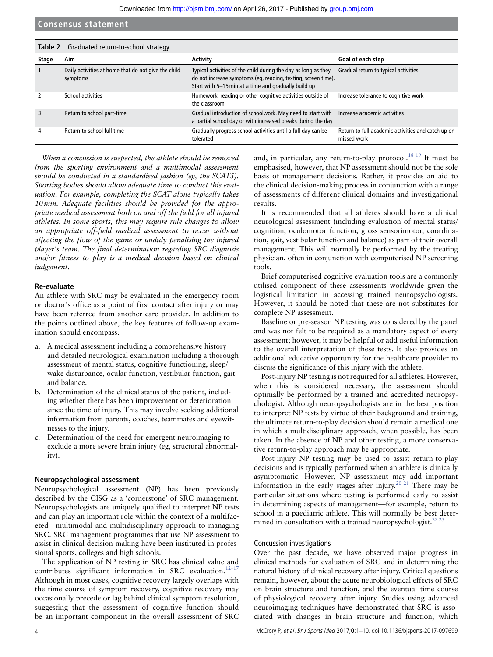<span id="page-3-0"></span>

| Table 2 | Graduated return-to-school strategy                             |                                                                                                                                                                                         |                                                                   |  |  |
|---------|-----------------------------------------------------------------|-----------------------------------------------------------------------------------------------------------------------------------------------------------------------------------------|-------------------------------------------------------------------|--|--|
| Stage   | Aim                                                             | Activity                                                                                                                                                                                | Goal of each step                                                 |  |  |
|         | Daily activities at home that do not give the child<br>symptoms | Typical activities of the child during the day as long as they<br>do not increase symptoms (eq, reading, texting, screen time).<br>Start with 5-15 min at a time and gradually build up | Gradual return to typical activities                              |  |  |
|         | School activities                                               | Homework, reading or other cognitive activities outside of<br>the classroom                                                                                                             | Increase tolerance to cognitive work                              |  |  |
| 3       | Return to school part-time                                      | Gradual introduction of schoolwork. May need to start with<br>a partial school day or with increased breaks during the day                                                              | Increase academic activities                                      |  |  |
| 4       | Return to school full time                                      | Gradually progress school activities until a full day can be<br>tolerated                                                                                                               | Return to full academic activities and catch up on<br>missed work |  |  |

*When a concussion is suspected, the athlete should be removed from the sporting environment and a multimodal assessment should be conducted in a standardised fashion (eg, the SCAT5). Sporting bodies should allow adequate time to conduct this evaluation. For example, completing the SCAT alone typically takes 10min. Adequate facilities should be provided for the appropriate medical assessment both on and off the field for all injured athletes. In some sports, this may require rule changes to allow an appropriate off-field medical assessment to occur without affecting the flow of the game or unduly penalising the injured player's team. The final determination regarding SRC diagnosis and/or fitness to play is a medical decision based on clinical judgement.*

#### **Re-evaluate**

An athlete with SRC may be evaluated in the emergency room or doctor's office as a point of first contact after injury or may have been referred from another care provider. In addition to the points outlined above, the key features of follow-up examination should encompass:

- a. A medical assessment including a comprehensive history and detailed neurological examination including a thorough assessment of mental status, cognitive functioning, sleep/ wake disturbance, ocular function, vestibular function, gait and balance.
- b. Determination of the clinical status of the patient, including whether there has been improvement or deterioration since the time of injury. This may involve seeking additional information from parents, coaches, teammates and eyewitnesses to the injury.
- Determination of the need for emergent neuroimaging to exclude a more severe brain injury (eg, structural abnormality).

#### **Neuropsychological assessment**

Neuropsychological assessment (NP) has been previously described by the CISG as a 'cornerstone' of SRC management. Neuropsychologists are uniquely qualified to interpret NP tests and can play an important role within the context of a multifaceted—multimodal and multidisciplinary approach to managing SRC. SRC management programmes that use NP assessment to assist in clinical decision-making have been instituted in professional sports, colleges and high schools.

The application of NP testing in SRC has clinical value and contributes significant information in SRC evaluation.<sup>[12–17](#page-8-5)</sup> Although in most cases, cognitive recovery largely overlaps with the time course of symptom recovery, cognitive recovery may occasionally precede or lag behind clinical symptom resolution, suggesting that the assessment of cognitive function should be an important component in the overall assessment of SRC

and, in particular, any return-to-play protocol.<sup>18 19</sup> It must be emphasised, however, that NP assessment should not be the sole basis of management decisions. Rather, it provides an aid to the clinical decision-making process in conjunction with a range of assessments of different clinical domains and investigational results.

It is recommended that all athletes should have a clinical neurological assessment (including evaluation of mental status/ cognition, oculomotor function, gross sensorimotor, coordination, gait, vestibular function and balance) as part of their overall management. This will normally be performed by the treating physician, often in conjunction with computerised NP screening tools.

Brief computerised cognitive evaluation tools are a commonly utilised component of these assessments worldwide given the logistical limitation in accessing trained neuropsychologists. However, it should be noted that these are not substitutes for complete NP assessment.

Baseline or pre-season NP testing was considered by the panel and was not felt to be required as a mandatory aspect of every assessment; however, it may be helpful or add useful information to the overall interpretation of these tests. It also provides an additional educative opportunity for the healthcare provider to discuss the significance of this injury with the athlete.

Post-injury NP testing is not required for all athletes. However, when this is considered necessary, the assessment should optimally be performed by a trained and accredited neuropsychologist. Although neuropsychologists are in the best position to interpret NP tests by virtue of their background and training, the ultimate return-to-play decision should remain a medical one in which a multidisciplinary approach, when possible, has been taken. In the absence of NP and other testing, a more conservative return-to-play approach may be appropriate.

Post-injury NP testing may be used to assist return-to-play decisions and is typically performed when an athlete is clinically asymptomatic. However, NP assessment may add important information in the early stages after injury.<sup>20 21</sup> There may be particular situations where testing is performed early to assist in determining aspects of management—for example, return to school in a paediatric athlete. This will normally be best determined in consultation with a trained neuropsychologist. $^{22}$ 

#### Concussion investigations

Over the past decade, we have observed major progress in clinical methods for evaluation of SRC and in determining the natural history of clinical recovery after injury. Critical questions remain, however, about the acute neurobiological effects of SRC on brain structure and function, and the eventual time course of physiological recovery after injury. Studies using advanced neuroimaging techniques have demonstrated that SRC is associated with changes in brain structure and function, which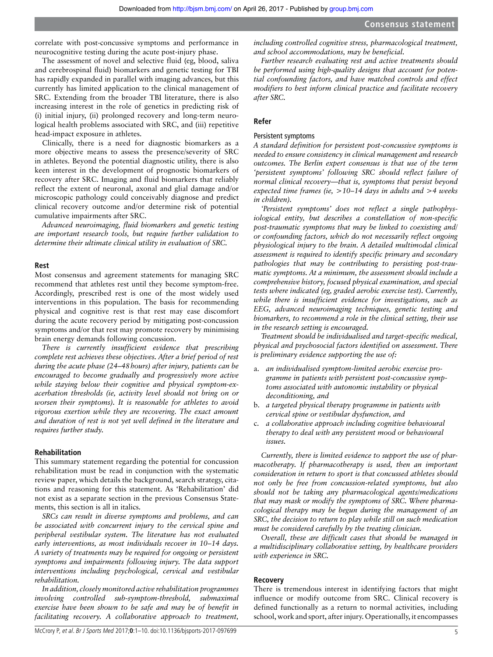correlate with post-concussive symptoms and performance in neurocognitive testing during the acute post-injury phase.

The assessment of novel and selective fluid (eg, blood, saliva and cerebrospinal fluid) biomarkers and genetic testing for TBI has rapidly expanded in parallel with imaging advances, but this currently has limited application to the clinical management of SRC. Extending from the broader TBI literature, there is also increasing interest in the role of genetics in predicting risk of (i) initial injury, (ii) prolonged recovery and long-term neurological health problems associated with SRC, and (iii) repetitive head-impact exposure in athletes.

Clinically, there is a need for diagnostic biomarkers as a more objective means to assess the presence/severity of SRC in athletes. Beyond the potential diagnostic utility, there is also keen interest in the development of prognostic biomarkers of recovery after SRC. Imaging and fluid biomarkers that reliably reflect the extent of neuronal, axonal and glial damage and/or microscopic pathology could conceivably diagnose and predict clinical recovery outcome and/or determine risk of potential cumulative impairments after SRC.

*Advanced neuroimaging, fluid biomarkers and genetic testing are important research tools, but require further validation to determine their ultimate clinical utility in evaluation of SRC.*

#### **Rest**

Most consensus and agreement statements for managing SRC recommend that athletes rest until they become symptom-free. Accordingly, prescribed rest is one of the most widely used interventions in this population. The basis for recommending physical and cognitive rest is that rest may ease discomfort during the acute recovery period by mitigating post-concussion symptoms and/or that rest may promote recovery by minimising brain energy demands following concussion.

*There is currently insufficient evidence that prescribing complete rest achieves these objectives. After a brief period of rest during the acute phase (24–48hours) after injury, patients can be encouraged to become gradually and progressively more active while staying below their cognitive and physical symptom-exacerbation thresholds (ie, activity level should not bring on or worsen their symptoms). It is reasonable for athletes to avoid vigorous exertion while they are recovering. The exact amount and duration of rest is not yet well defined in the literature and requires further study.*

#### **Rehabilitation**

This summary statement regarding the potential for concussion rehabilitation must be read in conjunction with the systematic review paper, which details the background, search strategy, citations and reasoning for this statement. As 'Rehabilitation' did not exist as a separate section in the previous Consensus Statements, this section is all in italics.

*SRCs can result in diverse symptoms and problems, and can be associated with concurrent injury to the cervical spine and peripheral vestibular system. The literature has not evaluated early interventions, as most individuals recover in 10–14 days. A variety of treatments may be required for ongoing or persistent symptoms and impairments following injury. The data support interventions including psychological, cervical and vestibular rehabilitation.*

*In addition, closely monitored active rehabilitation programmes involving controlled sub-symptom-threshold, submaximal exercise have been shown to be safe and may be of benefit in facilitating recovery. A collaborative approach to treatment,* 

*including controlled cognitive stress, pharmacological treatment, and school accommodations, may be beneficial.*

*Further research evaluating rest and active treatments should be performed using high-quality designs that account for potential confounding factors, and have matched controls and effect modifiers to best inform clinical practice and facilitate recovery after SRC.*

#### **Refer**

# Persistent symptoms

*A standard definition for persistent post-concussive symptoms is needed to ensure consistency in clinical management and research outcomes. The Berlin expert consensus is that use of the term 'persistent symptoms' following SRC should reflect failure of normal clinical recovery—that is, symptoms that persist beyond expected time frames (ie, >10–14 days in adults and >4 weeks in children).*

*'Persistent symptoms' does not reflect a single pathophysiological entity, but describes a constellation of non-specific post-traumatic symptoms that may be linked to coexisting and/ or confounding factors, which do not necessarily reflect ongoing physiological injury to the brain. A detailed multimodal clinical assessment is required to identify specific primary and secondary pathologies that may be contributing to persisting post-traumatic symptoms. At a minimum, the assessment should include a comprehensive history, focused physical examination, and special tests where indicated (eg, graded aerobic exercise test). Currently, while there is insufficient evidence for investigations, such as EEG, advanced neuroimaging techniques, genetic testing and biomarkers, to recommend a role in the clinical setting, their use in the research setting is encouraged.*

*Treatment should be individualised and target-specific medical, physical and psychosocial factors identified on assessment. There is preliminary evidence supporting the use of:*

- a. *an individualised symptom-limited aerobic exercise programme in patients with persistent post-concussive symptoms associated with autonomic instability or physical deconditioning, and*
- b. *a targeted physical therapy programme in patients with cervical spine or vestibular dysfunction, and*
- c. *a collaborative approach including cognitive behavioural therapy to deal with any persistent mood or behavioural issues.*

*Currently, there is limited evidence to support the use of pharmacotherapy. If pharmacotherapy is used, then an important consideration in return to sport is that concussed athletes should not only be free from concussion-related symptoms, but also should not be taking any pharmacological agents/medications that may mask or modify the symptoms of SRC. Where pharmacological therapy may be begun during the management of an SRC, the decision to return to play while still on such medication must be considered carefully by the treating clinician.*

*Overall, these are difficult cases that should be managed in a multidisciplinary collaborative setting, by healthcare providers with experience in SRC.*

#### **Recovery**

There is tremendous interest in identifying factors that might influence or modify outcome from SRC. Clinical recovery is defined functionally as a return to normal activities, including school, work and sport, after injury. Operationally, it encompasses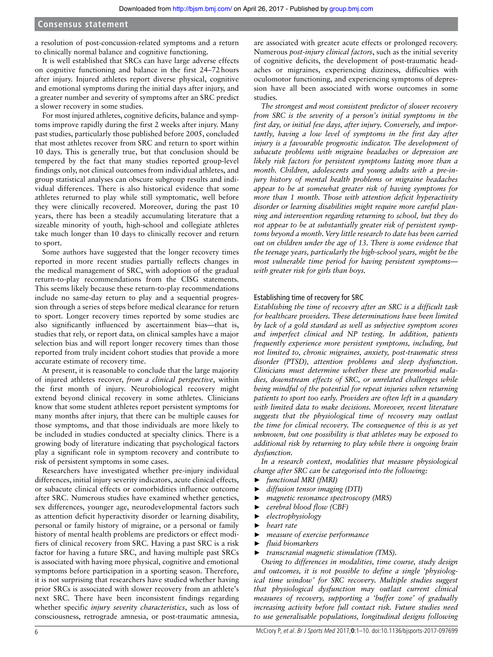a resolution of post-concussion-related symptoms and a return to clinically normal balance and cognitive functioning.

It is well established that SRCs can have large adverse effects on cognitive functioning and balance in the first 24–72hours after injury. Injured athletes report diverse physical, cognitive and emotional symptoms during the initial days after injury, and a greater number and severity of symptoms after an SRC predict a slower recovery in some studies.

For most injured athletes, cognitive deficits, balance and symptoms improve rapidly during the first 2 weeks after injury. Many past studies, particularly those published before 2005, concluded that most athletes recover from SRC and return to sport within 10 days. This is generally true, but that conclusion should be tempered by the fact that many studies reported group-level findings only, not clinical outcomes from individual athletes, and group statistical analyses can obscure subgroup results and individual differences. There is also historical evidence that some athletes returned to play while still symptomatic, well before they were clinically recovered. Moreover, during the past 10 years, there has been a steadily accumulating literature that a sizeable minority of youth, high-school and collegiate athletes take much longer than 10 days to clinically recover and return to sport.

Some authors have suggested that the longer recovery times reported in more recent studies partially reflects changes in the medical management of SRC, with adoption of the gradual return-to-play recommendations from the CISG statements. This seems likely because these return-to-play recommendations include no same-day return to play and a sequential progression through a series of steps before medical clearance for return to sport. Longer recovery times reported by some studies are also significantly influenced by ascertainment bias—that is, studies that rely, or report data, on clinical samples have a major selection bias and will report longer recovery times than those reported from truly incident cohort studies that provide a more accurate estimate of recovery time.

At present, it is reasonable to conclude that the large majority of injured athletes recover, *from a clinical perspective*, within the first month of injury. Neurobiological recovery might extend beyond clinical recovery in some athletes. Clinicians know that some student athletes report persistent symptoms for many months after injury, that there can be multiple causes for those symptoms, and that those individuals are more likely to be included in studies conducted at specialty clinics. There is a growing body of literature indicating that psychological factors play a significant role in symptom recovery and contribute to risk of persistent symptoms in some cases.

Researchers have investigated whether pre-injury individual differences, initial injury severity indicators, acute clinical effects, or subacute clinical effects or comorbidities influence outcome after SRC. Numerous studies have examined whether genetics, sex differences, younger age, neurodevelopmental factors such as attention deficit hyperactivity disorder or learning disability, personal or family history of migraine, or a personal or family history of mental health problems are predictors or effect modifiers of clinical recovery from SRC. Having a past SRC is a risk factor for having a future SRC, and having multiple past SRCs is associated with having more physical, cognitive and emotional symptoms before participation in a sporting season. Therefore, it is not surprising that researchers have studied whether having prior SRCs is associated with slower recovery from an athlete's next SRC. There have been inconsistent findings regarding whether specific *injury severity characteristics*, such as loss of consciousness, retrograde amnesia, or post-traumatic amnesia,

are associated with greater acute effects or prolonged recovery. Numerous *post-injury clinical factors*, such as the initial severity of cognitive deficits, the development of post-traumatic headaches or migraines, experiencing dizziness, difficulties with oculomotor functioning, and experiencing symptoms of depression have all been associated with worse outcomes in some studies.

*The strongest and most consistent predictor of slower recovery from SRC is the severity of a person's initial symptoms in the first day, or initial few days, after injury. Conversely, and importantly, having a low level of symptoms in the first day after injury is a favourable prognostic indicator. The development of subacute problems with migraine headaches or depression are likely risk factors for persistent symptoms lasting more than a month. Children, adolescents and young adults with a pre-injury history of mental health problems or migraine headaches appear to be at somewhat greater risk of having symptoms for more than 1 month. Those with attention deficit hyperactivity disorder or learning disabilities might require more careful planning and intervention regarding returning to school, but they do not appear to be at substantially greater risk of persistent symptoms beyond a month. Very little research to date has been carried out on children under the age of 13. There is some evidence that the teenage years, particularly the high-school years, might be the most vulnerable time period for having persistent symptoms with greater risk for girls than boys.*

#### Establishing time of recovery for SRC

*Establishing the time of recovery after an SRC is a difficult task for healthcare providers. These determinations have been limited by lack of a gold standard as well as subjective symptom scores and imperfect clinical and NP testing. In addition, patients frequently experience more persistent symptoms, including, but not limited to, chronic migraines, anxiety, post-traumatic stress disorder (PTSD), attention problems and sleep dysfunction. Clinicians must determine whether these are premorbid maladies, downstream effects of SRC, or unrelated challenges while being mindful of the potential for repeat injuries when returning patients to sport too early. Providers are often left in a quandary with limited data to make decisions. Moreover, recent literature suggests that the physiological time of recovery may outlast the time for clinical recovery. The consequence of this is as yet unknown, but one possibility is that athletes may be exposed to additional risk by returning to play while there is ongoing brain dysfunction.*

*In a research context, modalities that measure physiological change after SRC can be categorised into the following:*

- ► *functional MRI (fMRI)*
- ► *diffusion tensor imaging (DTI)*
- ► *magnetic resonance spectroscopy (MRS)*
- ► *cerebral blood flow (CBF)*
- ► *electrophysiology*
- ► *heart rate*
- ► *measure of exercise performance*
- ► *fluid biomarkers*
- ► *transcranial magnetic stimulation (TMS).*

*Owing to differences in modalities, time course, study design and outcomes, it is not possible to define a single 'physiological time window' for SRC recovery. Multiple studies suggest that physiological dysfunction may outlast current clinical measures of recovery, supporting a 'buffer zone' of gradually increasing activity before full contact risk. Future studies need to use generalisable populations, longitudinal designs following*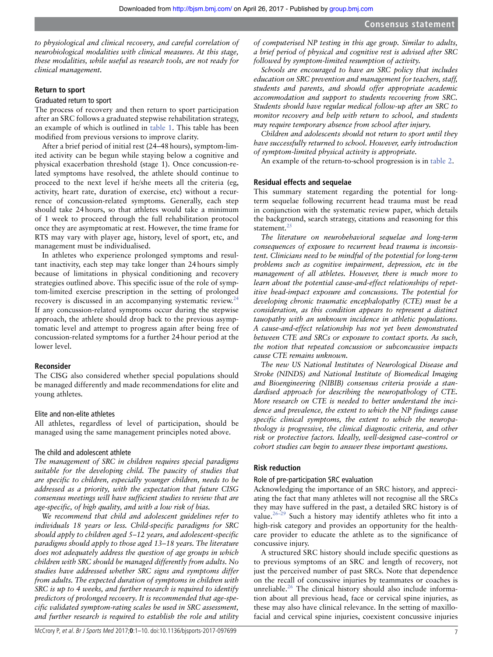*to physiological and clinical recovery, and careful correlation of neurobiological modalities with clinical measures. At this stage, these modalities, while useful as research tools, are not ready for clinical management.*

#### **Return to sport**

#### Graduated return to sport

The process of recovery and then return to sport participation after an SRC follows a graduated stepwise rehabilitation strategy, an example of which is outlined in [table](#page-2-0) 1. This table has been modified from previous versions to improve clarity.

After a brief period of initial rest (24–48hours), symptom-limited activity can be begun while staying below a cognitive and physical exacerbation threshold (stage 1). Once concussion-related symptoms have resolved, the athlete should continue to proceed to the next level if he/she meets all the criteria (eg, activity, heart rate, duration of exercise, etc) without a recurrence of concussion-related symptoms. Generally, each step should take 24hours, so that athletes would take a minimum of 1 week to proceed through the full rehabilitation protocol once they are asymptomatic at rest. However, the time frame for RTS may vary with player age, history, level of sport, etc, and management must be individualised.

In athletes who experience prolonged symptoms and resultant inactivity, each step may take longer than 24hours simply because of limitations in physical conditioning and recovery strategies outlined above. This specific issue of the role of symptom-limited exercise prescription in the setting of prolonged recovery is discussed in an accompanying systematic review.<sup>[24](#page-8-9)</sup> If any concussion-related symptoms occur during the stepwise approach, the athlete should drop back to the previous asymptomatic level and attempt to progress again after being free of concussion-related symptoms for a further 24hour period at the lower level.

#### **Reconsider**

The CISG also considered whether special populations should be managed differently and made recommendations for elite and young athletes.

#### Elite and non-elite athletes

All athletes, regardless of level of participation, should be managed using the same management principles noted above.

#### The child and adolescent athlete

*The management of SRC in children requires special paradigms suitable for the developing child. The paucity of studies that are specific to children, especially younger children, needs to be addressed as a priority, with the expectation that future CISG consensus meetings will have sufficient studies to review that are age-specific, of high quality, and with a low risk of bias.*

*We recommend that child and adolescent guidelines refer to individuals 18 years or less. Child-specific paradigms for SRC should apply to children aged 5–12 years, and adolescent-specific paradigms should apply to those aged 13–18 years. The literature does not adequately address the question of age groups in which children with SRC should be managed differently from adults. No studies have addressed whether SRC signs and symptoms differ from adults. The expected duration of symptoms in children with SRC is up to 4 weeks, and further research is required to identify predictors of prolonged recovery. It is recommended that age-specific validated symptom-rating scales be used in SRC assessment, and further research is required to establish the role and utility* 

*of computerised NP testing in this age group. Similar to adults, a brief period of physical and cognitive rest is advised after SRC followed by symptom-limited resumption of activity.*

*Schools are encouraged to have an SRC policy that includes education on SRC prevention and management for teachers, staff, students and parents, and should offer appropriate academic accommodation and support to students recovering from SRC. Students should have regular medical follow-up after an SRC to monitor recovery and help with return to school, and students may require temporary absence from school after injury.*

*Children and adolescents should not return to sport until they have successfully returned to school. However, early introduction of symptom-limited physical activity is appropriate.*

An example of the return-to-school progression is in [table](#page-3-0) 2.

#### **Residual effects and sequelae**

This summary statement regarding the potential for longterm sequelae following recurrent head trauma must be read in conjunction with the systematic review paper, which details the background, search strategy, citations and reasoning for this statement.<sup>[25](#page-9-0)</sup>

*The literature on neurobehavioral sequelae and long-term consequences of exposure to recurrent head trauma is inconsistent. Clinicians need to be mindful of the potential for long-term problems such as cognitive impairment, depression, etc in the management of all athletes. However, there is much more to learn about the potential cause-and-effect relationships of repetitive head-impact exposure and concussions. The potential for developing chronic traumatic encephalopathy (CTE) must be a consideration, as this condition appears to represent a distinct tauopathy with an unknown incidence in athletic populations. A cause-and-effect relationship has not yet been demonstrated between CTE and SRCs or exposure to contact sports. As such, the notion that repeated concussion or subconcussive impacts cause CTE remains unknown.*

*The new US National Institutes of Neurological Disease and Stroke (NINDS) and National Institute of Biomedical Imaging and Bioengineering (NIBIB) consensus criteria provide a standardised approach for describing the neuropathology of CTE. More research on CTE is needed to better understand the incidence and prevalence, the extent to which the NP findings cause specific clinical symptoms, the extent to which the neuropathology is progressive, the clinical diagnostic criteria, and other risk or protective factors. Ideally, well-designed case–control or cohort studies can begin to answer these important questions.*

#### **Risk reduction**

# Role of pre-participation SRC evaluation

Acknowledging the importance of an SRC history, and appreciating the fact that many athletes will not recognise all the SRCs they may have suffered in the past, a detailed SRC history is of value. $26-29$  Such a history may identify athletes who fit into a high-risk category and provides an opportunity for the healthcare provider to educate the athlete as to the significance of concussive injury.

A structured SRC history should include specific questions as to previous symptoms of an SRC and length of recovery, not just the perceived number of past SRCs. Note that dependence on the recall of concussive injuries by teammates or coaches is unreliable.<sup>26</sup> The clinical history should also include information about all previous head, face or cervical spine injuries, as these may also have clinical relevance. In the setting of maxillofacial and cervical spine injuries, coexistent concussive injuries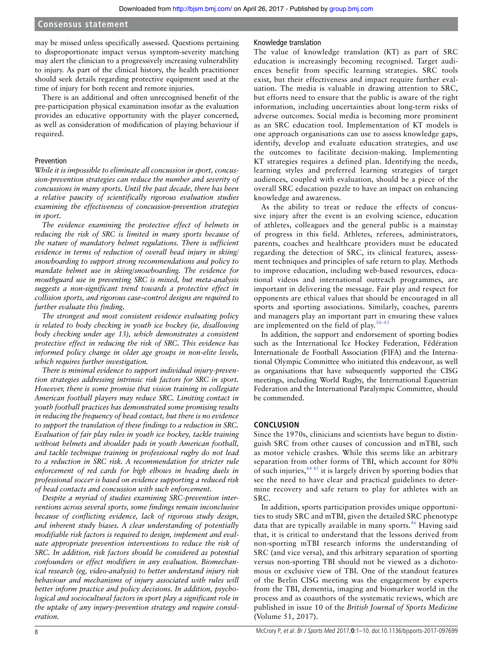may be missed unless specifically assessed. Questions pertaining to disproportionate impact versus symptom-severity matching may alert the clinician to a progressively increasing vulnerability to injury. As part of the clinical history, the health practitioner should seek details regarding protective equipment used at the time of injury for both recent and remote injuries.

There is an additional and often unrecognised benefit of the pre-participation physical examination insofar as the evaluation provides an educative opportunity with the player concerned, as well as consideration of modification of playing behaviour if required.

# Prevention

*While it is impossible to eliminate all concussion in sport, concussion-prevention strategies can reduce the number and severity of concussions in many sports. Until the past decade, there has been a relative paucity of scientifically rigorous evaluation studies examining the effectiveness of concussion-prevention strategies in sport.*

*The evidence examining the protective effect of helmets in reducing the risk of SRC is limited in many sports because of the nature of mandatory helmet regulations. There is sufficient evidence in terms of reduction of overall head injury in skiing/ snowboarding to support strong recommendations and policy to mandate helmet use in skiing/snowboarding. The evidence for mouthguard use in preventing SRC is mixed, but meta-analysis suggests a non-significant trend towards a protective effect in collision sports, and rigorous case–control designs are required to further evaluate this finding.*

*The strongest and most consistent evidence evaluating policy is related to body checking in youth ice hockey (ie, disallowing body checking under age 13), which demonstrates a consistent protective effect in reducing the risk of SRC. This evidence has informed policy change in older age groups in non-elite levels, which requires further investigation.*

*There is minimal evidence to support individual injury-prevention strategies addressing intrinsic risk factors for SRC in sport. However, there is some promise that vision training in collegiate American football players may reduce SRC. Limiting contact in youth football practices has demonstrated some promising results in reducing the frequency of head contact, but there is no evidence to support the translation of these findings to a reduction in SRC. Evaluation of fair play rules in youth ice hockey, tackle training without helmets and shoulder pads in youth American football, and tackle technique training in professional rugby do not lead to a reduction in SRC risk. A recommendation for stricter rule enforcement of red cards for high elbows in heading duels in professional soccer is based on evidence supporting a reduced risk of head contacts and concussion with such enforcement.*

*Despite a myriad of studies examining SRC-prevention interventions across several sports, some findings remain inconclusive because of conflicting evidence, lack of rigorous study design, and inherent study biases. A clear understanding of potentially modifiable risk factors is required to design, implement and evaluate appropriate prevention interventions to reduce the risk of SRC. In addition, risk factors should be considered as potential confounders or effect modifiers in any evaluation. Biomechanical research (eg, video-analysis) to better understand injury risk behaviour and mechanisms of injury associated with rules will better inform practice and policy decisions. In addition, psychological and sociocultural factors in sport play a significant role in the uptake of any injury-prevention strategy and require consideration.*

# Knowledge translation

The value of knowledge translation (KT) as part of SRC education is increasingly becoming recognised. Target audiences benefit from specific learning strategies. SRC tools exist, but their effectiveness and impact require further evaluation. The media is valuable in drawing attention to SRC, but efforts need to ensure that the public is aware of the right information, including uncertainties about long-term risks of adverse outcomes. Social media is becoming more prominent as an SRC education tool. Implementation of KT models is one approach organisations can use to assess knowledge gaps, identify, develop and evaluate education strategies, and use the outcomes to facilitate decision-making. Implementing KT strategies requires a defined plan. Identifying the needs, learning styles and preferred learning strategies of target audiences, coupled with evaluation, should be a piece of the overall SRC education puzzle to have an impact on enhancing knowledge and awareness.

As the ability to treat or reduce the effects of concussive injury after the event is an evolving science, education of athletes, colleagues and the general public is a mainstay of progress in this field. Athletes, referees, administrators, parents, coaches and healthcare providers must be educated regarding the detection of SRC, its clinical features, assessment techniques and principles of safe return to play. Methods to improve education, including web-based resources, educational videos and international outreach programmes, are important in delivering the message. Fair play and respect for opponents are ethical values that should be encouraged in all sports and sporting associations. Similarly, coaches, parents and managers play an important part in ensuring these values are implemented on the field of play. $30-43$ 

In addition, the support and endorsement of sporting bodies such as the International Ice Hockey Federation, Fédération Internationale de Football Association (FIFA) and the International Olympic Committee who initiated this endeavour, as well as organisations that have subsequently supported the CISG meetings, including World Rugby, the International Equestrian Federation and the International Paralympic Committee, should be commended.

# **CONCLUSION**

Since the 1970s, clinicians and scientists have begun to distinguish SRC from other causes of concussion and mTBI, such as motor vehicle crashes. While this seems like an arbitrary separation from other forms of TBI, which account for 80% of such injuries,  $44.45$  it is largely driven by sporting bodies that see the need to have clear and practical guidelines to determine recovery and safe return to play for athletes with an SRC.

In addition, sports participation provides unique opportunities to study SRC and mTBI, given the detailed SRC phenotype data that are typically available in many sports.<sup>[46](#page-9-4)</sup> Having said that, it is critical to understand that the lessons derived from non-sporting mTBI research informs the understanding of SRC (and vice versa), and this arbitrary separation of sporting versus non-sporting TBI should not be viewed as a dichotomous or exclusive view of TBI. One of the standout features of the Berlin CISG meeting was the engagement by experts from the TBI, dementia, imaging and biomarker world in the process and as coauthors of the systematic reviews, which are published in issue 10 of the *British Journal of Sports Medicine* (Volume 51, 2017).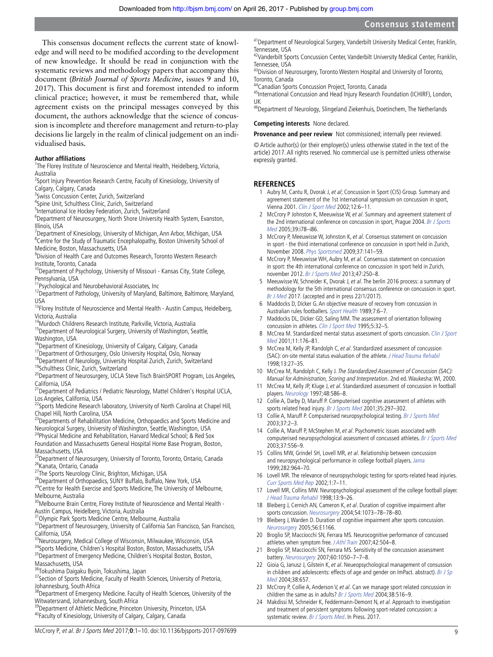This consensus document reflects the current state of knowledge and will need to be modified according to the development of new knowledge. It should be read in conjunction with the systematic reviews and methodology papers that accompany this document (*British Journal of Sports Medicine*, issues 9 and 10, 2017). This document is first and foremost intended to inform clinical practice; however, it must be remembered that, while agreement exists on the principal messages conveyed by this document, the authors acknowledge that the science of concussion is incomplete and therefore management and return-to-play decisions lie largely in the realm of clinical judgement on an individualised basis.

### **Author affiliations**

<sup>1</sup>The Florey Institute of Neuroscience and Mental Health, Heidelberg, Victoria, Australia

<sup>2</sup>Sport Injury Prevention Research Centre, Faculty of Kinesiology, University of Calgary, Calgary, Canada

<sup>3</sup> Swiss Concussion Center, Zurich, Switzerland

4 Spine Unit, Schulthess Clinic, Zurich, Switzerland

<sup>5</sup>International Ice Hockey Federation, Zurich, Switzerland

<sup>6</sup>Department of Neurosurgery, North Shore University Health System, Evanston, Illinois, USA

<sup>7</sup>Department of Kinesiology, University of Michigan, Ann Arbor, Michigan, USA <sup>8</sup>Centre for the Study of Traumatic Encephalopathy, Boston University School of Medicine, Boston, Massachusetts, USA

9 Division of Health Care and Outcomes Research, Toronto Western Research Institute, Toronto, Canada

<sup>10</sup>Department of Psychology, University of Missouri - Kansas City, State College, Pennsylvania, USA

<sup>11</sup>Psychological and Neurobehavioral Associates, Inc

<sup>12</sup>Department of Pathology, University of Maryland, Baltimore, Baltimore, Maryland, USA

<sup>13</sup>Florey Institute of Neuroscience and Mental Health - Austin Campus, Heidelberg, Victoria, Australia

14Murdoch Childrens Research Institute, Parkville, Victoria, Australia

<sup>15</sup>Department of Neurological Surgery, University of Washington, Seattle, Washington, USA

<sup>16</sup>Department of Kinesiology, University of Calgary, Calgary, Canada

<sup>17</sup>Department of Orthosurgery, Oslo University Hospital, Oslo, Norway

<sup>18</sup>Department of Neurology, University Hospital Zurich, Zurich, Switzerland

19Schulthess Clinic, Zurich, Switzerland

<sup>20</sup>Department of Neurosurgery, UCLA Steve Tisch BrainSPORT Program, Los Angeles, California, USA

<sup>21</sup>Department of Pediatrics / Pediatric Neurology, Mattel Children's Hospital UCLA, Los Angeles, California, USA

<sup>22</sup>Sports Medicine Research laboratory, University of North Carolina at Chapel Hill, Chapel Hill, North Carolina, USA

<sup>23</sup>Departments of Rehabilitation Medicine, Orthopaedics and Sports Medicine and Neurological Surgery, University of Washington, Seattle, Washington, USA

<sup>24</sup>Physical Medicine and Rehabilitation, Harvard Medical School; & Red Sox Foundation and Massachusetts General Hospital Home Base Program, Boston, Massachusetts, USA

<sup>25</sup>Department of Neurosurgery, University of Toronto, Toronto, Ontario, Canada 26 Kanata, Ontario, Canada

<sup>27</sup>The Sports Neurology Clinic, Brighton, Michigan, USA

<sup>28</sup>Department of Orthopaedics, SUNY Buffalo, Buffalo, New York, USA

<sup>29</sup>Centre for Health Exercise and Sports Medicine, The University of Melbourne, Melbourne, Australia

<sup>30</sup>Melbourne Brain Centre, Florey Institute of Neuroscience and Mental Health -

Austin Campus, Heidelberg, Victoria, Australia 31Olympic Park Sports Medicine Centre, Melbourne, Australia

<sup>32</sup>Department of Neurosurgery, University of California San Francisco, San Francisco,

California, USA<br><sup>33</sup>Neurosurgery, Medical College of Wisconsin, Milwaukee, Wisconsin, USA

34Sports Medicine, Children's Hospital Boston, Boston, Massachusetts, USA 35Department of Emergency Medicine, Children's Hospital Boston, Boston, Massachusetts, USA

36Tokushima Daigaku Byoin, Tokushima, Japan

<sup>37</sup> Section of Sports Medicine, Faculty of Health Sciences, University of Pretoria, Johannesburg, South Africa

<sup>38</sup>Department of Emergency Medicine. Faculty of Health Sciences, University of the Witwatersrand, Johannesburg, South Africa

<sup>39</sup>Department of Athletic Medicine, Princeton University, Princeton, USA <sup>40</sup>Faculty of Kinesiology, University of Calgary, Calgary, Canada

<sup>41</sup> Department of Neurological Surgery, Vanderbilt University Medical Center, Franklin,

Tennessee, USA<br><sup>42</sup>Vanderbilt Sports Concussion Center, Vanderbilt University Medical Center, Franklin, Tennessee, USA

43Division of Neurosurgery, Toronto Western Hospital and University of Toronto, Toronto, Canada

44Canadian Sports Concussion Project, Toronto, Canada

45International Concussion and Head Injury Research Foundation (ICHIRF), London, UK

<sup>56</sup>Department of Neurology, Slingeland Ziekenhuis, Doetinchem, The Netherlands

#### **Competing interests** None declared.

**Provenance and peer review** Not commissioned; internally peer reviewed.

© Article author(s) (or their employer(s) unless otherwise stated in the text of the article) 2017. All rights reserved. No commercial use is permitted unless otherwise expressly granted.

# **REFERENCES**

- <span id="page-8-0"></span>1 Aubry M, Cantu R, Dvorak J, et al; Concussion in Sport (CIS) Group. Summary and agreement statement of the 1st international symposium on concussion in sport, Vienna 2001. [Clin J Sport Med](http://dx.doi.org/10.1097/00042752-200201000-00005) 2002;12:6–11.
- 2 McCrory P Johnston K, Meeuwisse W, et al. Summary and agreement statement of the 2nd international conference on concussion in sport, Prague 2004. Br J Sports [Med](http://dx.doi.org/10.1136/bjsm.2005.018614) 2005;39:i78–i86.
- 3 McCrory P, Meeuwisse W, Johnston K, et al. Consensus statement on concussion in sport - the third international conference on concussion in sport held in Zurich, November 2008. [Phys Sportsmed](http://dx.doi.org/10.3810/psm.2009.06.1721) 2009;37:141–59.
- 4 McCrory P, Meeuwisse WH, Aubry M, et al. Consensus statement on concussion in sport: the 4th international conference on concussion in sport held in Zurich, november 2012. [Br J Sports Med](http://dx.doi.org/10.1136/bjsports-2013-092313) 2013;47:250–8.
- <span id="page-8-1"></span>5 Meeuwisse W, Schneider K, Dvorak J, et al. The berlin 2016 process: a summary of methodology for the 5th international consensus conference on concussion in sport. Br J Med 2017. (accepted and in press 22/1/2017).
- <span id="page-8-2"></span>6 Maddocks D, Dicker G. An objective measure of recovery from concussion in Australian rules footballers. Sport Health 1989;7:6–7.
- <span id="page-8-4"></span>7 Maddocks DL, Dicker GD, Saling MM. The assessment of orientation following concussion in athletes. [Clin J Sport Med](http://dx.doi.org/10.1097/00042752-199501000-00006) 1995;5:32-5.
- <span id="page-8-3"></span>8 McCrea M. Standardized mental status assessment of sports concussion. Clin J Sport [Med](http://dx.doi.org/10.1097/00042752-200107000-00008) 2001;11:176–81.
- 9 McCrea M, Kelly JP, Randolph C, et al. Standardized assessment of concussion (SAC): on-site mental status evaluation of the athlete. [J Head Trauma Rehabil](http://dx.doi.org/10.1097/00001199-199804000-00005) 1998;13:27–35.
- 10 McCrea M, Randolph C, Kelly J. The Standardized Assessment of Concussion (SAC): Manual for Administration, Scoring and Interpretation. 2nd ed. Waukesha: WI, 2000.
- 11 McCrea M, Kelly JP, Kluge J, et al. Standardized assessment of concussion in football players. [Neurology](http://dx.doi.org/10.1212/WNL.48.3.586) 1997;48:586–8.
- <span id="page-8-5"></span>12 Collie A, Darby D, Maruff P. Computerised cognitive assessment of athletes with sports related head injury. [Br J Sports Med](http://dx.doi.org/10.1136/bjsm.35.5.297) 2001;35:297-302.
- 13 Collie A, Maruff P. Computerised neuropsychological testing. [Br J Sports Med](http://dx.doi.org/10.1136/bjsm.37.1.2) 2003;37:2–3.
- 14 Collie A, Maruff P, McStephen M, et al. Psychometric issues associated with computerised neuropsychological assessment of concussed athletes. [Br J Sports Med](http://dx.doi.org/10.1136/bjsm.37.6.556) 2003;37:556–9.
- 15 Collins MW, Grindel SH, Lovell MR, et al. Relationship between concussion and neuropsychological performance in college football players. [Jama](http://dx.doi.org/10.1001/jama.282.10.964) 1999;282:964–70.
- 16 Lovell MR. The relevance of neuropsychologic testing for sports-related head injuries. [Curr Sports Med Rep](http://dx.doi.org/10.1249/00149619-200202000-00003) 2002;1:7–11.
- 17 Lovell MR, Collins MW. Neuropsychological assessment of the college football player. [J Head Trauma Rehabil](http://dx.doi.org/10.1097/00001199-199804000-00004) 1998;13:9–26.
- <span id="page-8-6"></span>18 Bleiberg J, Cernich AN, Cameron K, et al. Duration of cognitive impairment after sports concussion. [Neurosurgery](http://dx.doi.org/10.1227/01.NEU.0000118820.33396.6A) 2004;54:1073–78–78–80.
- 19 Bleiberg J, Warden D. Duration of cognitive impairment after sports concussion. Neurosurgery 2005;56:E1166.
- <span id="page-8-7"></span>20 Broglio SP, Macciocchi SN, Ferrara MS. Neurocognitive performance of concussed athletes when symptom free. J Athl Train 2007;42:504-8.
- 21 Broglio SP, Macciocchi SN, Ferrara MS. Sensitivity of the concussion assessment battery. [Neurosurgery](http://dx.doi.org/10.1227/01.NEU.0000255479.90999.C0) 2007;60:1050–7–7–8.
- <span id="page-8-8"></span>22 Gioia G, Janusz J, Gilstein K, et al. Neueopsychological management of consussion in children and adolescents: effects of age and gender on ImPact. abstract). Br J Sp Med 2004;38:657.
- 23 McCrory P, Collie A, Anderson V, et al. Can we manage sport related concussion in children the same as in adults? [Br J Sports Med](http://dx.doi.org/10.1136/bjsm.2004.014811) 2004;38:516-9.
- <span id="page-8-9"></span>24 Makdissi M, Schneider K, Feddermann-Demont N, et al. Approach to investigation and treatment of persistent symptoms following sport-related concussion: a systematic review. Br J Sports Med. In Press. 2017.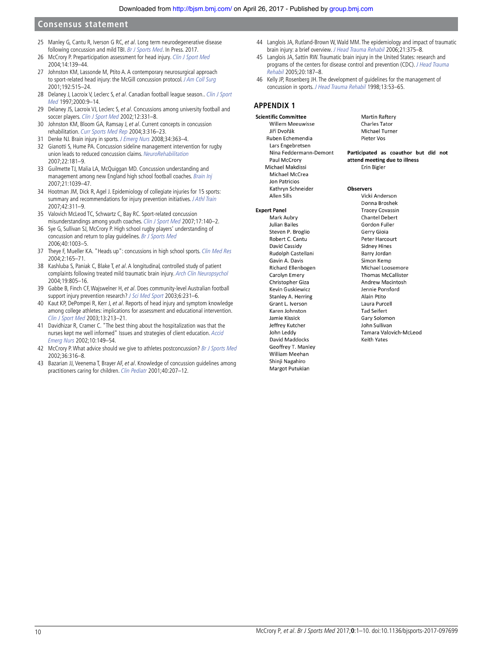- <span id="page-9-0"></span>25 Manley G, Cantu R, Iverson G RC, et al. Long term neurodegenerative disease following concussion and mild TBI. Br J Sports Med. In Press. 2017.
- <span id="page-9-1"></span>26 McCrory P. Preparticipation assessment for head injury. [Clin J Sport Med](http://dx.doi.org/10.1097/00042752-200405000-00006) 2004;14:139–44.
- 27 Johnston KM, Lassonde M, Ptito A. A contemporary neurosurgical approach to sport-related head injury: the McGill concussion protocol. [J Am Coll Surg](http://dx.doi.org/10.1016/S1072-7515(01)00797-9) 2001;192:515–24.
- 28 Delaney J, Lacroix V, Leclerc S, et al. Canadian football league season.. Clin J Sport Med 1997;2000:9–14.
- 29 Delaney JS, Lacroix VJ, Leclerc S, et al. Concussions among university football and soccer players. [Clin J Sport Med](http://dx.doi.org/10.1097/00042752-200211000-00003) 2002:12:331-8.
- <span id="page-9-2"></span>30 Johnston KM, Bloom GA, Ramsay J, et al. Current concepts in concussion rehabilitation. [Curr Sports Med Rep](http://dx.doi.org/10.1249/00149619-200412000-00006) 2004;3:316–23.
- 31 Denke NJ. Brain injury in sports. [J Emerg Nurs](http://dx.doi.org/10.1016/j.jen.2008.04.013) 2008;34:363–4.
- 32 Gianotti S, Hume PA. Concussion sideline management intervention for rugby union leads to reduced concussion claims. NeuroRehabilitation 2007;22:181–9.
- 33 Guilmette TJ, Malia LA, McQuiggan MD. Concussion understanding and management among new England high school football coaches. [Brain Inj](http://dx.doi.org/10.1080/02699050701633080) 2007;21:1039–47.
- 34 Hootman JM, Dick R, Agel J. Epidemiology of collegiate injuries for 15 sports: summary and recommendations for injury prevention initiatives. J Athl Train 2007;42:311–9.
- 35 Valovich McLeod TC, Schwartz C, Bay RC. Sport-related concussion misunderstandings among youth coaches. [Clin J Sport Med](http://dx.doi.org/10.1097/JSM.0b013e31803212ae) 2007;17:140–2.
- 36 Sye G, Sullivan SJ, McCrory P. High school rugby players' understanding of concussion and return to play guidelines. [Br J Sports Med](http://dx.doi.org/10.1136/bjsm.2005.020511) 2006;40:1003–5.
- 37 Theye F, Mueller KA. "Heads up": concussions in high school sports. [Clin Med Res](http://dx.doi.org/10.3121/cmr.2.3.165) 2004;2:165–71.
- 38 Kashluba S, Paniak C, Blake T, et al. A longitudinal, controlled study of patient complaints following treated mild traumatic brain injury. [Arch Clin Neuropsychol](http://dx.doi.org/10.1016/j.acn.2003.09.005) 2004;19:805–16.
- 39 Gabbe B, Finch CF, Wajswelner H, et al. Does community-level Australian football support injury prevention research? [J Sci Med Sport](http://dx.doi.org/10.1016/S1440-2440(03)80259-1) 2003;6:231-6.
- 40 Kaut KP, DePompei R, Kerr J, et al. Reports of head injury and symptom knowledge among college athletes: implications for assessment and educational intervention. [Clin J Sport Med](http://dx.doi.org/10.1097/00042752-200307000-00004) 2003;13:213–21.
- 41 Davidhizar R, Cramer C. "The best thing about the hospitalization was that the nurses kept me well informed" Issues and strategies of client education. [Accid](http://dx.doi.org/10.1054/aaen.2002.0365)  [Emerg Nurs](http://dx.doi.org/10.1054/aaen.2002.0365) 2002;10:149–54.
- 42 McCrory P. What advice should we give to athletes postconcussion? [Br J Sports Med](http://dx.doi.org/10.1136/bjsm.36.5.316) 2002;36:316–8.
- 43 Bazarian JJ, Veenema T, Brayer AF, et al. Knowledge of concussion guidelines among practitioners caring for children. [Clin Pediatr](http://dx.doi.org/10.1177/000992280104000405) 2001;40:207–12.
- <span id="page-9-3"></span>44 Langlois JA, Rutland-Brown W, Wald MM. The epidemiology and impact of traumatic brain injury: a brief overview. J Head Trauma Rehabil 2006;21:375–8.
- 45 Langlois JA, Sattin RW. Traumatic brain injury in the United States: research and programs of the centers for disease control and prevention (CDC). J Head Trauma Rehabil 2005;20:187–8.
- <span id="page-9-4"></span>46 Kelly JP, Rosenberg JH. The development of guidelines for the management of concussion in sports. [J Head Trauma Rehabil](http://dx.doi.org/10.1097/00001199-199804000-00008) 1998;13:53–65.

# **APPENDIX 1**

**Scientific Committee** Willem Meeuwisse liří Dvořák Ruben Echemendia Lars Engebretsen Nina Feddermann-Demont Paul McCrory Michael Makdissi Michael McCrea **Jon Patricios** Kathrvn Schneider Allen Sills

#### **Expert Panel**

Mark Aubry Julian Bailes Steven P. Broglio Robert C. Cantu David Cassidy Rudolph Castellani Gavin A. Davis Richard Ellenbogen Carolyn Emery Christopher Giza **Kevin Guskiewicz** Stanley A. Herring Grant L. Iverson Karen Johnston Jamie Kissick **Jeffrey Kutcher** John Leddy David Maddocks Geoffrey T. Manley William Meehan Shinji Nagahiro Margot Putukian

**Martin Raftery Charles Tator** Michael Turner Pieter Vos

Participated as coauthor but did not attend meeting due to illness Frin Bigler

#### **Observers**

Vicki Anderson Donna Broshek **Tracey Covassin** Chantel Debert Gordon Fuller Gerry Gioja Peter Harcourt Sidney Hines Barry Jordan Simon Kemp Michael Loosemore Thomas McCallister Andrew Macintosh Jennie Ponsford Alain Ptito Laura Purcell **Tad Seifert** Gary Solomon **John Sullivan** Tamara Valovich-McLeod **Keith Yates**